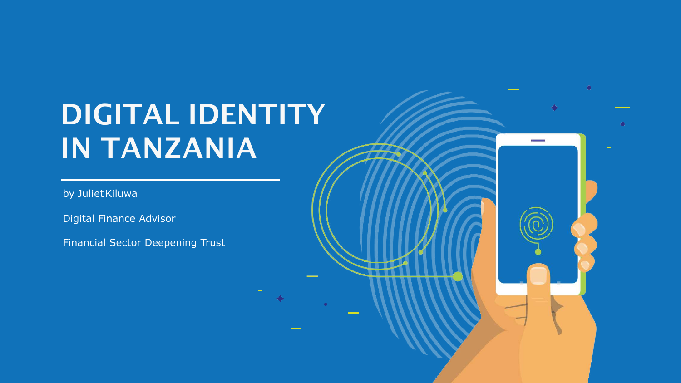## DIGITAL IDENTITY IN TANZANIA

 $\bullet$ 

by Juliet Kiluwa

Digital Finance Advisor

Financial Sector Deepening Trust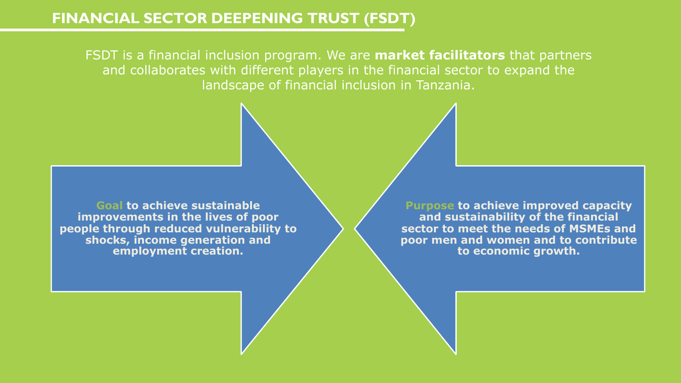### **FINANCIAL SECTOR DEEPENING TRUST (FSDT)**

FSDT is a financial inclusion program. We are **market facilitators** that partners and collaborates with different players in the financial sector to expand the landscape of financial inclusion in Tanzania.

**Goal to achieve sustainable improvements in the lives of poor people through reduced vulnerability to shocks, income generation and employment creation.** 

**Purpose to achieve improved capacity and sustainability of the financial sector to meet the needs of MSMEs and poor men and women and to contribute to economic growth.**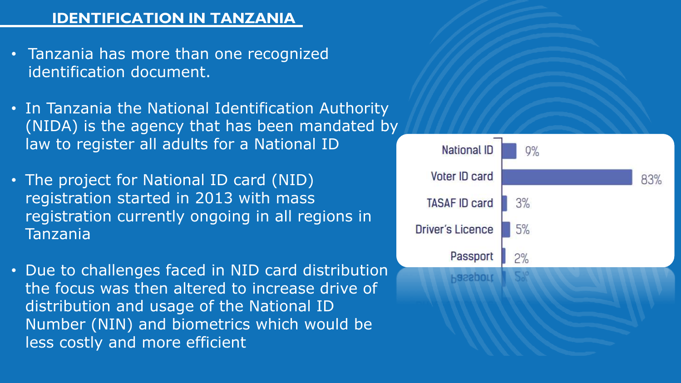## **IDENTIFICATION IN TANZANIA**

- Tanzania has more than one recognized identification document.
- In Tanzania the National Identification Authority (NIDA) is the agency that has been mandated by law to register all adults for a National ID
- The project for National ID card (NID) registration started in 2013 with mass registration currently ongoing in all regions in Tanzania
- Due to challenges faced in NID card distribution the focus was then altered to increase drive of distribution and usage of the National ID Number (NIN) and biometrics which would be less costly and more efficient

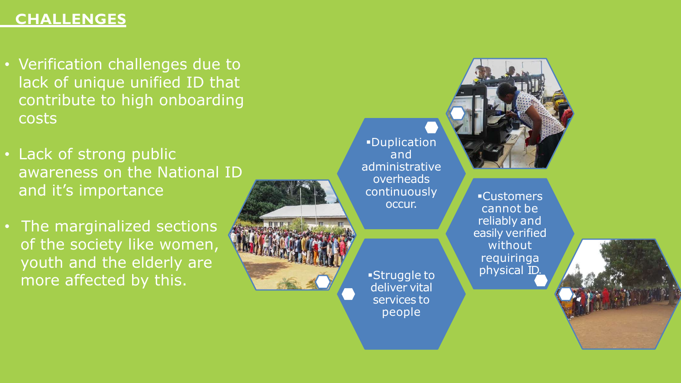## **CHALLENGES**

- Verification challenges due to lack of unique unified ID that contribute to high onboarding costs
- Lack of strong public awareness on the National ID and it's importance
- The marginalized sections of the society like women, youth and the elderly are more affected by this.



§Duplication and administrative overheads continuously occur.

§Struggle to deliver vital services to

people



§Customers cannot be reliably and easily verified without requiringa physical ID.

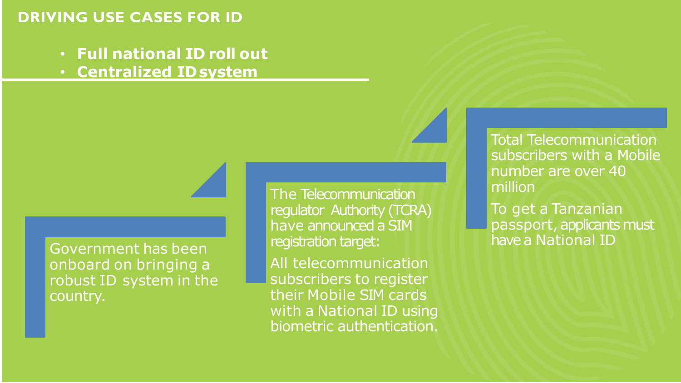## **DRIVING USE CASES FOR ID**

- **Full national ID roll out**
- **Centralized IDsystem**

Government has been onboard on bringing a robust ID system in the country.

The Telecommunication regulator Authority (TCRA) have announced a SIM registration target:

All telecommunication subscribers to register their Mobile SIM cards with a National ID using biometric authentication. Total Telecommunication subscribers with a Mobile number are over 40 million

To get a Tanzanian passport, applicants must have a National ID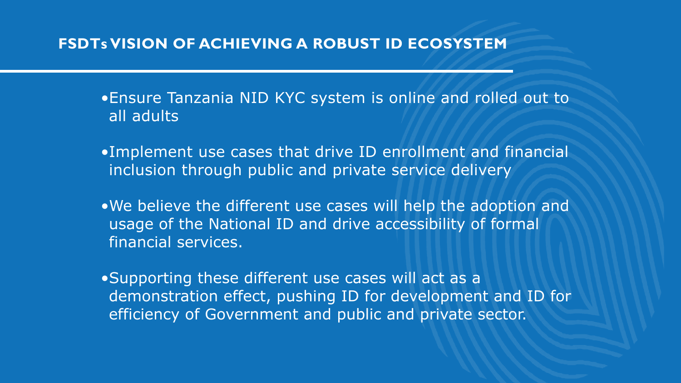## **FSDTs VISION OF ACHIEVING A ROBUST ID ECOSYSTEM**

•Ensure Tanzania NID KYC system is online and rolled out to all adults

- •Implement use cases that drive ID enrollment and financial inclusion through public and private service delivery
- •We believe the different use cases will help the adoption and usage of the National ID and drive accessibility of formal financial services.

•Supporting these different use cases will act as a demonstration effect, pushing ID for development and ID for efficiency of Government and public and private sector.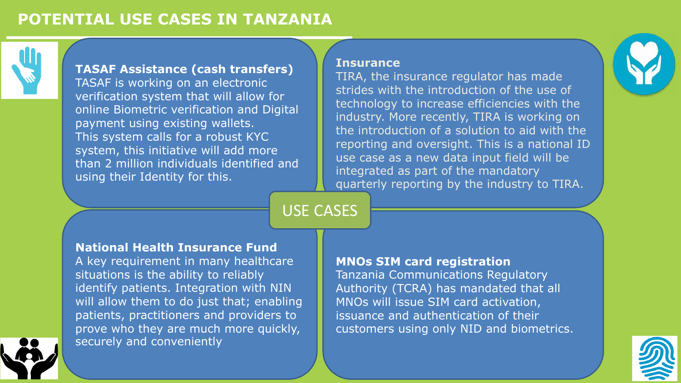## **POTENTIAL USE CASES IN TANZANIA**



#### **TASAF Assistance (cash transfers)**

TASAF is working on an electronic verification system that will allow for online Biometric verification and Digital payment using existing wallets. This system calls for a robust KYC system, this initiative will add more than 2 million individuals identified and using their Identity for this.

#### **Insurance**

TIRA, the insurance regulator has made strides with the introduction of the use of technology to increase efficiencies with the industry. More recently, TIRA is working on the introduction of a solution to aid with the reporting and oversight. This is a national ID use case as a new data input field will be integrated as part of the mandatory quarterly reporting by the industry to TIRA.

## USE CASES

#### **National Health Insurance Fund**

A key requirement in many healthcare situations is the ability to reliably identify patients. Integration with NIN will allow them to do just that; enabling patients, practitioners and providers to prove who they are much more quickly, securely and conveniently

#### **MNOs SIM card registration**

Tanzania Communications Regulatory Authority (TCRA) has mandated that all MNOs will issue SIM card activation, issuance and authentication of their customers using only NID and biometrics.



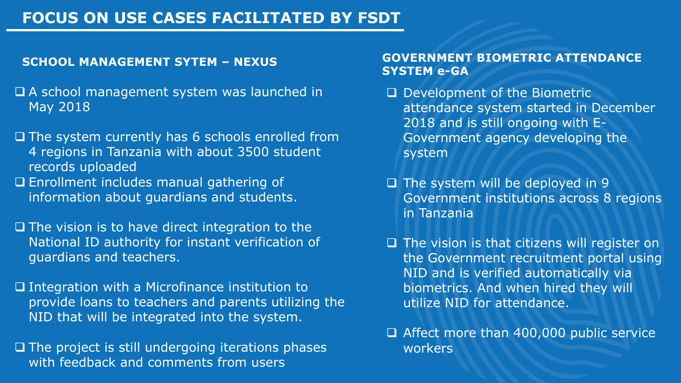## **FOCUS ON USE CASES FACILITATED BY FSDT**

- $\Box$  A school management system was launched in May 2018
- $\Box$  The system currently has 6 schools enrolled from 4 regions in Tanzania with about 3500 student records uploaded
- $\square$  Enrollment includes manual gathering of information about guardians and students.
- $\Box$  The vision is to have direct integration to the National ID authority for instant verification of guardians and teachers.
- $\Box$  Integration with a Microfinance institution to provide loans to teachers and parents utilizing the NID that will be integrated into the system.
- $\Box$  The project is still undergoing iterations phases with feedback and comments from users

#### **SCHOOL MANAGEMENT SYTEM – NEXUS GOVERNMENT BIOMETRIC ATTENDANCE SYSTEM e-GA**

- $\Box$  Development of the Biometric attendance system started in December 2018 and is still ongoing with E-Government agency developing the system
- $\Box$  The system will be deployed in 9 Government institutions across 8 regions in Tanzania
- $\Box$  The vision is that citizens will register on the Government recruitment portal using NID and is verified automatically via biometrics. And when hired they will utilize NID for attendance.
- □ Affect more than 400,000 public service workers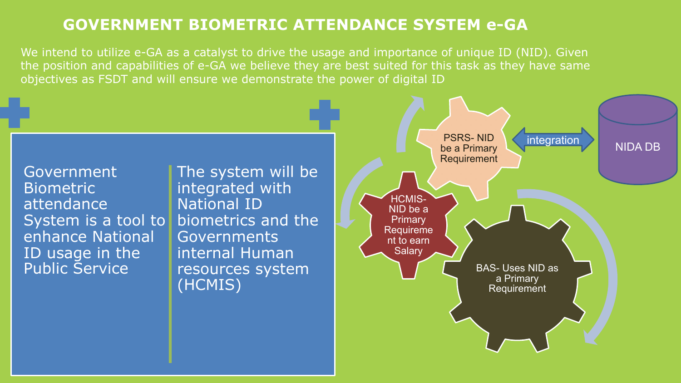## **GOVERNMENT BIOMETRIC ATTENDANCE SYSTEM e-GA**

We intend to utilize e-GA as a catalyst to drive the usage and importance of unique ID (NID). Given the position and capabilities of e-GA we believe they are best suited for this task as they have same objectives as FSDT and will ensure we demonstrate the power of digital ID

BAS- Uses NID as a Primary **Requirement** HCMIS-NID be a **Primary** Requireme nt to earn **Salary** PSRS- NID be a Primary Requirement integration NIDA DB **Government Biometric** attendance System is a tool to biometrics and the enhance National ID usage in the Public Service The system will be integrated with National ID **Governments** internal Human resources system (HCMIS)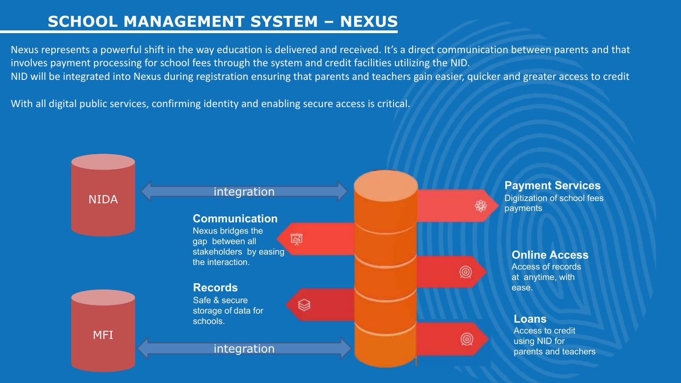## **SCHOOL MANAGEMENT SYSTEM – NEXUS**

Nexus represents a powerful shift in the way education is delivered and received. It's a direct communication between parents and that involves payment processing for school fees through the system and credit facilities utilizing the NID. NID will be integrated into Nexus during registration ensuring that parents and teachers gain easier, quicker and greater access to credit

With all digital public services, confirming identity and enabling secure access is critical.

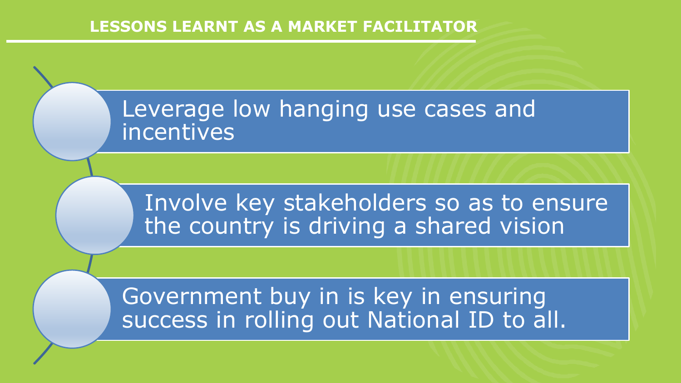## **LESSONS LEARNT AS A MARKET FACILITATOR**

## Leverage low hanging use cases and incentives

Involve key stakeholders so as to ensure the country is driving a shared vision

Government buy in is key in ensuring success in rolling out National ID to all.